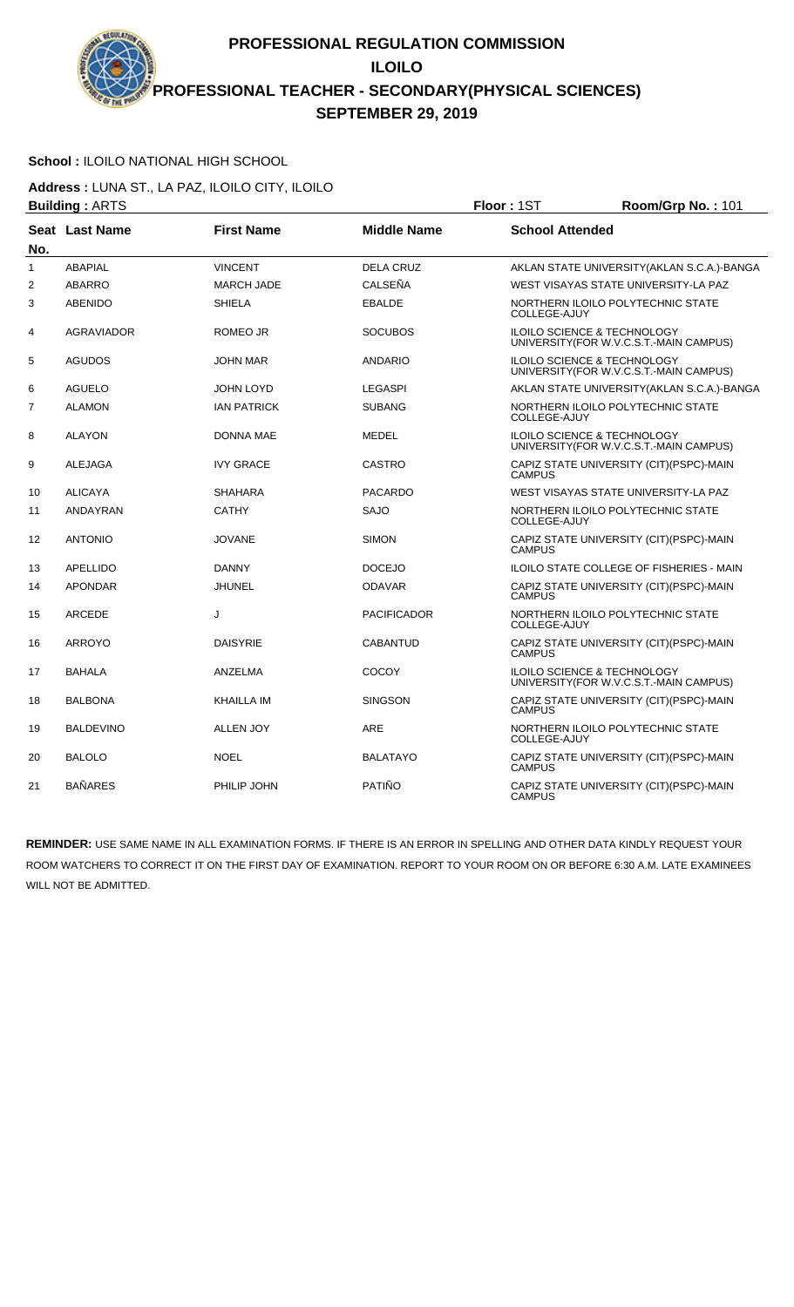# **School :** ILOILO NATIONAL HIGH SCHOOL

**Address :** LUNA ST., LA PAZ, ILOILO CITY, ILOILO

|                | <b>Building: ARTS</b> |                    | Floor: 1ST         | Room/Grp No.: 101      |                                                                                   |
|----------------|-----------------------|--------------------|--------------------|------------------------|-----------------------------------------------------------------------------------|
| No.            | Seat Last Name        | <b>First Name</b>  | <b>Middle Name</b> | <b>School Attended</b> |                                                                                   |
| 1              | <b>ABAPIAL</b>        | <b>VINCENT</b>     | <b>DELA CRUZ</b>   |                        | AKLAN STATE UNIVERSITY (AKLAN S.C.A.)-BANGA                                       |
| $\overline{2}$ | <b>ABARRO</b>         | <b>MARCH JADE</b>  | CALSEÑA            |                        | WEST VISAYAS STATE UNIVERSITY-LA PAZ                                              |
| 3              | <b>ABENIDO</b>        | <b>SHIELA</b>      | <b>EBALDE</b>      | COLLEGE-AJUY           | NORTHERN ILOILO POLYTECHNIC STATE                                                 |
| 4              | AGRAVIADOR            | <b>ROMEO JR</b>    | <b>SOCUBOS</b>     |                        | <b>ILOILO SCIENCE &amp; TECHNOLOGY</b><br>UNIVERSITY (FOR W.V.C.S.T.-MAIN CAMPUS) |
| 5              | <b>AGUDOS</b>         | <b>JOHN MAR</b>    | <b>ANDARIO</b>     |                        | <b>ILOILO SCIENCE &amp; TECHNOLOGY</b><br>UNIVERSITY (FOR W.V.C.S.T.-MAIN CAMPUS) |
| 6              | <b>AGUELO</b>         | <b>JOHN LOYD</b>   | <b>LEGASPI</b>     |                        | AKLAN STATE UNIVERSITY (AKLAN S.C.A.)-BANGA                                       |
| 7              | <b>ALAMON</b>         | <b>IAN PATRICK</b> | <b>SUBANG</b>      | COLLEGE-AJUY           | NORTHERN ILOILO POLYTECHNIC STATE                                                 |
| 8              | <b>ALAYON</b>         | <b>DONNA MAE</b>   | MEDEL              |                        | ILOILO SCIENCE & TECHNOLOGY<br>UNIVERSITY(FOR W.V.C.S.T.-MAIN CAMPUS)             |
| 9              | <b>ALEJAGA</b>        | <b>IVY GRACE</b>   | <b>CASTRO</b>      | <b>CAMPUS</b>          | CAPIZ STATE UNIVERSITY (CIT)(PSPC)-MAIN                                           |
| 10             | <b>ALICAYA</b>        | <b>SHAHARA</b>     | <b>PACARDO</b>     |                        | WEST VISAYAS STATE UNIVERSITY-LA PAZ                                              |
| 11             | <b>ANDAYRAN</b>       | <b>CATHY</b>       | <b>SAJO</b>        | COLLEGE-AJUY           | NORTHERN ILOILO POLYTECHNIC STATE                                                 |
| 12             | <b>ANTONIO</b>        | <b>JOVANE</b>      | <b>SIMON</b>       | <b>CAMPUS</b>          | CAPIZ STATE UNIVERSITY (CIT)(PSPC)-MAIN                                           |
| 13             | APELLIDO              | <b>DANNY</b>       | <b>DOCEJO</b>      |                        | <b>ILOILO STATE COLLEGE OF FISHERIES - MAIN</b>                                   |
| 14             | <b>APONDAR</b>        | <b>JHUNEL</b>      | <b>ODAVAR</b>      | <b>CAMPUS</b>          | CAPIZ STATE UNIVERSITY (CIT)(PSPC)-MAIN                                           |
| 15             | <b>ARCEDE</b>         | J                  | <b>PACIFICADOR</b> | COLLEGE-AJUY           | NORTHERN ILOILO POLYTECHNIC STATE                                                 |
| 16             | <b>ARROYO</b>         | <b>DAISYRIE</b>    | <b>CABANTUD</b>    | <b>CAMPUS</b>          | CAPIZ STATE UNIVERSITY (CIT)(PSPC)-MAIN                                           |
| 17             | <b>BAHALA</b>         | ANZELMA            | COCOY              |                        | <b>ILOILO SCIENCE &amp; TECHNOLOGY</b><br>UNIVERSITY(FOR W.V.C.S.T.-MAIN CAMPUS)  |
| 18             | <b>BALBONA</b>        | <b>KHAILLA IM</b>  | <b>SINGSON</b>     | <b>CAMPUS</b>          | CAPIZ STATE UNIVERSITY (CIT)(PSPC)-MAIN                                           |
| 19             | <b>BALDEVINO</b>      | <b>ALLEN JOY</b>   | ARE                | COLLEGE-AJUY           | NORTHERN ILOILO POLYTECHNIC STATE                                                 |
| 20             | <b>BALOLO</b>         | <b>NOEL</b>        | <b>BALATAYO</b>    | <b>CAMPUS</b>          | CAPIZ STATE UNIVERSITY (CIT)(PSPC)-MAIN                                           |
| 21             | <b>BAÑARES</b>        | PHILIP JOHN        | <b>PATIÑO</b>      | <b>CAMPUS</b>          | CAPIZ STATE UNIVERSITY (CIT)(PSPC)-MAIN                                           |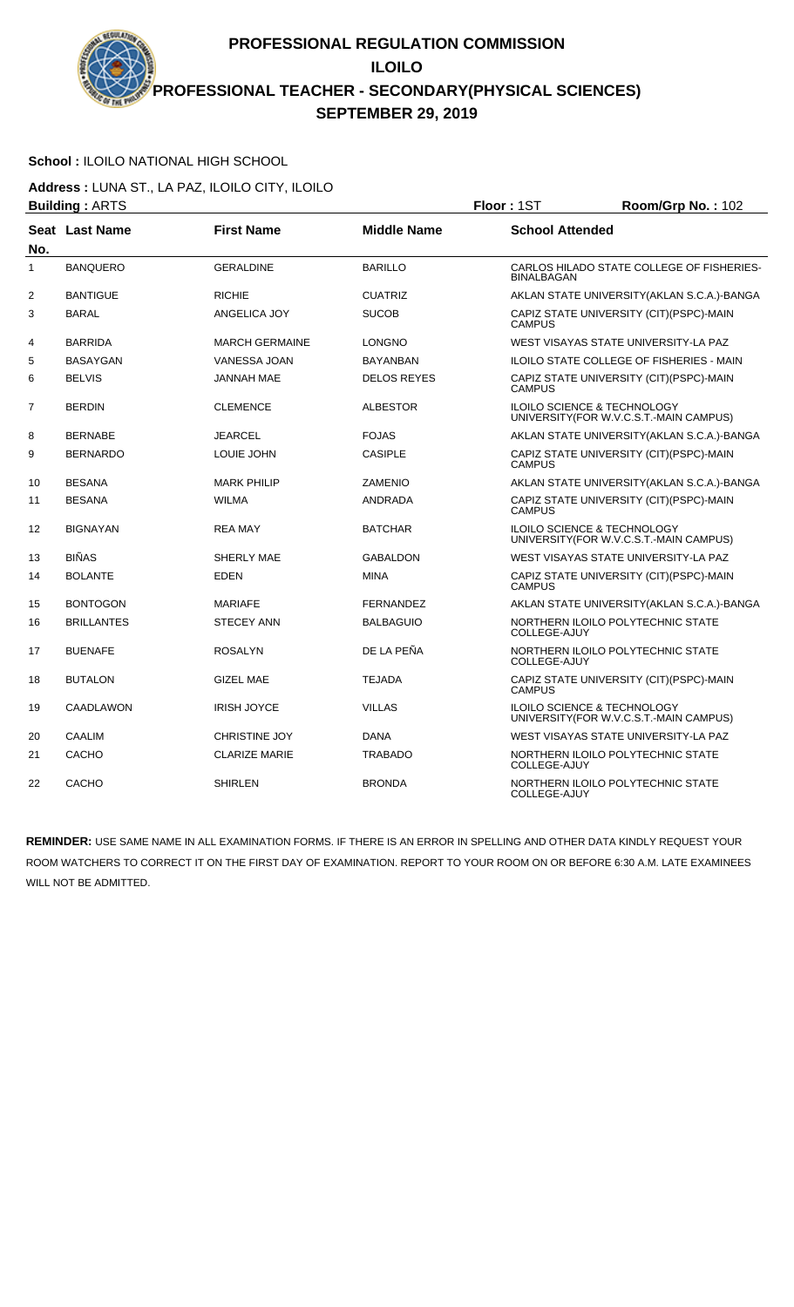# **School :** ILOILO NATIONAL HIGH SCHOOL

**Address :** LUNA ST., LA PAZ, ILOILO CITY, ILOILO **Building :** ARTS **Floor :** 1ST **Room/Grp No. :** 102

|     | <b>DUIIUIIIY</b> . ANTO |                       |                    | וטו. וטטו              | <b>NUUIIIIUI UU.</b> . IUZ                                                        |
|-----|-------------------------|-----------------------|--------------------|------------------------|-----------------------------------------------------------------------------------|
| No. | Seat Last Name          | <b>First Name</b>     | <b>Middle Name</b> | <b>School Attended</b> |                                                                                   |
| 1   | <b>BANQUERO</b>         | <b>GERALDINE</b>      | <b>BARILLO</b>     | <b>BINALBAGAN</b>      | CARLOS HILADO STATE COLLEGE OF FISHERIES-                                         |
| 2   | <b>BANTIGUE</b>         | <b>RICHIE</b>         | <b>CUATRIZ</b>     |                        | AKLAN STATE UNIVERSITY(AKLAN S.C.A.)-BANGA                                        |
| 3   | <b>BARAL</b>            | ANGELICA JOY          | <b>SUCOB</b>       | <b>CAMPUS</b>          | CAPIZ STATE UNIVERSITY (CIT)(PSPC)-MAIN                                           |
| 4   | <b>BARRIDA</b>          | <b>MARCH GERMAINE</b> | <b>LONGNO</b>      |                        | WEST VISAYAS STATE UNIVERSITY-LA PAZ                                              |
| 5   | <b>BASAYGAN</b>         | <b>VANESSA JOAN</b>   | <b>BAYANBAN</b>    |                        | <b>ILOILO STATE COLLEGE OF FISHERIES - MAIN</b>                                   |
| 6   | <b>BELVIS</b>           | <b>JANNAH MAE</b>     | <b>DELOS REYES</b> | <b>CAMPUS</b>          | CAPIZ STATE UNIVERSITY (CIT) (PSPC)-MAIN                                          |
| 7   | <b>BERDIN</b>           | <b>CLEMENCE</b>       | <b>ALBESTOR</b>    |                        | <b>ILOILO SCIENCE &amp; TECHNOLOGY</b><br>UNIVERSITY (FOR W.V.C.S.T.-MAIN CAMPUS) |
| 8   | <b>BERNABE</b>          | <b>JEARCEL</b>        | <b>FOJAS</b>       |                        | AKLAN STATE UNIVERSITY (AKLAN S.C.A.)-BANGA                                       |
| 9   | <b>BERNARDO</b>         | LOUIE JOHN            | <b>CASIPLE</b>     | <b>CAMPUS</b>          | CAPIZ STATE UNIVERSITY (CIT)(PSPC)-MAIN                                           |
| 10  | <b>BESANA</b>           | <b>MARK PHILIP</b>    | <b>ZAMENIO</b>     |                        | AKLAN STATE UNIVERSITY (AKLAN S.C.A.)-BANGA                                       |
| 11  | <b>BESANA</b>           | <b>WILMA</b>          | <b>ANDRADA</b>     | <b>CAMPUS</b>          | CAPIZ STATE UNIVERSITY (CIT)(PSPC)-MAIN                                           |
| 12  | <b>BIGNAYAN</b>         | <b>REA MAY</b>        | <b>BATCHAR</b>     |                        | <b>ILOILO SCIENCE &amp; TECHNOLOGY</b><br>UNIVERSITY (FOR W.V.C.S.T.-MAIN CAMPUS) |
| 13  | <b>BIÑAS</b>            | <b>SHERLY MAE</b>     | <b>GABALDON</b>    |                        | WEST VISAYAS STATE UNIVERSITY-LA PAZ                                              |
| 14  | <b>BOLANTE</b>          | <b>EDEN</b>           | <b>MINA</b>        | <b>CAMPUS</b>          | CAPIZ STATE UNIVERSITY (CIT)(PSPC)-MAIN                                           |
| 15  | <b>BONTOGON</b>         | <b>MARIAFE</b>        | <b>FERNANDEZ</b>   |                        | AKLAN STATE UNIVERSITY (AKLAN S.C.A.)-BANGA                                       |
| 16  | <b>BRILLANTES</b>       | <b>STECEY ANN</b>     | <b>BALBAGUIO</b>   | COLLEGE-AJUY           | NORTHERN ILOILO POLYTECHNIC STATE                                                 |
| 17  | <b>BUENAFE</b>          | <b>ROSALYN</b>        | DE LA PEÑA         | COLLEGE-AJUY           | NORTHERN ILOILO POLYTECHNIC STATE                                                 |
| 18  | <b>BUTALON</b>          | <b>GIZEL MAE</b>      | <b>TEJADA</b>      | <b>CAMPUS</b>          | CAPIZ STATE UNIVERSITY (CIT)(PSPC)-MAIN                                           |
| 19  | CAADLAWON               | <b>IRISH JOYCE</b>    | <b>VILLAS</b>      |                        | <b>ILOILO SCIENCE &amp; TECHNOLOGY</b><br>UNIVERSITY(FOR W.V.C.S.T.-MAIN CAMPUS)  |
| 20  | <b>CAALIM</b>           | <b>CHRISTINE JOY</b>  | <b>DANA</b>        |                        | WEST VISAYAS STATE UNIVERSITY-LA PAZ                                              |
| 21  | CACHO                   | <b>CLARIZE MARIE</b>  | <b>TRABADO</b>     | COLLEGE-AJUY           | NORTHERN ILOILO POLYTECHNIC STATE                                                 |
| 22  | CACHO                   | <b>SHIRLEN</b>        | <b>BRONDA</b>      | COLLEGE-AJUY           | NORTHERN ILOILO POLYTECHNIC STATE                                                 |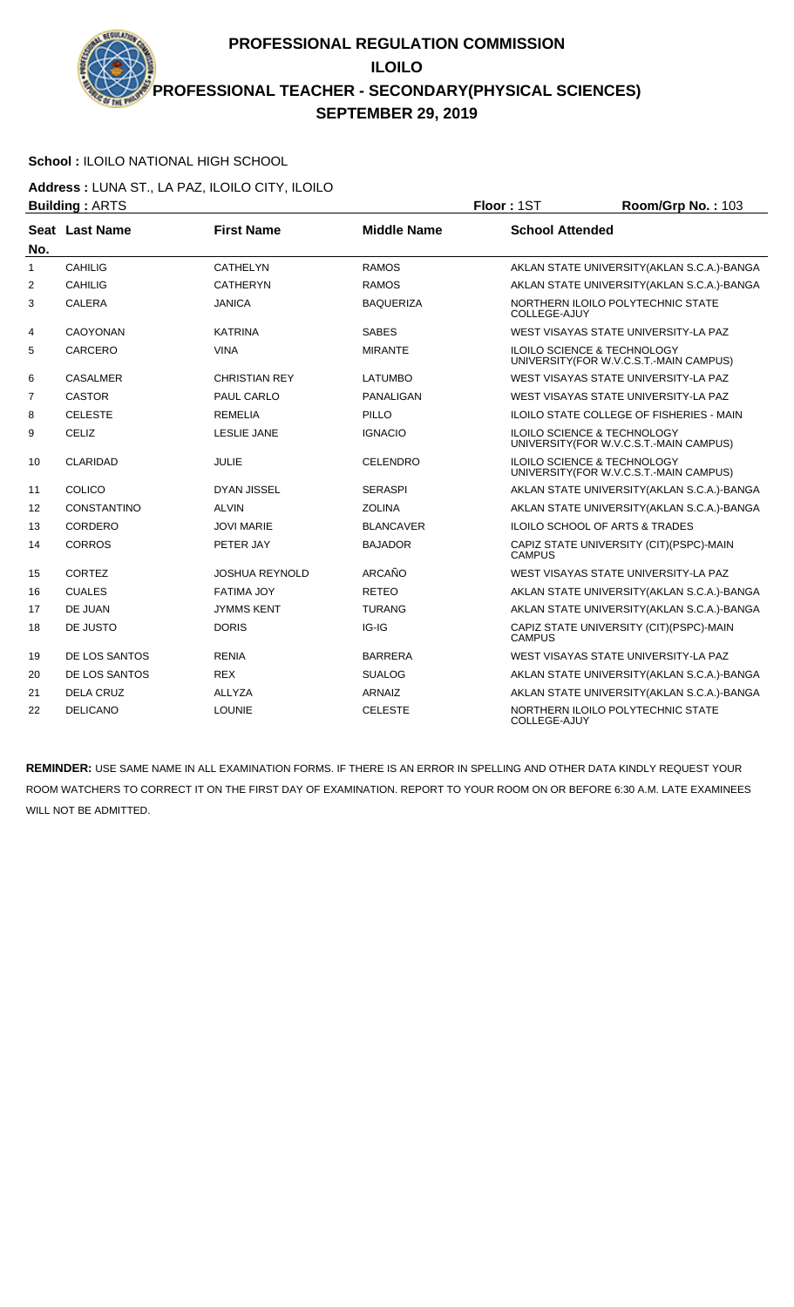# **School :** ILOILO NATIONAL HIGH SCHOOL

**Address :** LUNA ST., LA PAZ, ILOILO CITY, ILOILO **Building : ARTS Floor : 1ST Room/Grp No. : 103** 

| No.            | Seat Last Name     | <b>First Name</b>     | <b>Middle Name</b> | <b>School Attended</b>                                                           |
|----------------|--------------------|-----------------------|--------------------|----------------------------------------------------------------------------------|
| $\mathbf{1}$   | CAHILIG            | <b>CATHELYN</b>       | <b>RAMOS</b>       | AKLAN STATE UNIVERSITY (AKLAN S.C.A.)-BANGA                                      |
| 2              | <b>CAHILIG</b>     | <b>CATHERYN</b>       | <b>RAMOS</b>       | AKLAN STATE UNIVERSITY (AKLAN S.C.A.)-BANGA                                      |
| 3              | <b>CALERA</b>      | <b>JANICA</b>         | <b>BAQUERIZA</b>   | NORTHERN ILOILO POLYTECHNIC STATE<br>COLLEGE-AJUY                                |
| 4              | <b>CAOYONAN</b>    | <b>KATRINA</b>        | <b>SABES</b>       | WEST VISAYAS STATE UNIVERSITY-LA PAZ                                             |
| 5              | CARCERO            | <b>VINA</b>           | <b>MIRANTE</b>     | ILOILO SCIENCE & TECHNOLOGY<br>UNIVERSITY (FOR W.V.C.S.T.-MAIN CAMPUS)           |
| 6              | <b>CASALMER</b>    | <b>CHRISTIAN REY</b>  | <b>LATUMBO</b>     | WEST VISAYAS STATE UNIVERSITY-LA PAZ                                             |
| $\overline{7}$ | <b>CASTOR</b>      | PAUL CARLO            | PANALIGAN          | WEST VISAYAS STATE UNIVERSITY-LA PAZ                                             |
| 8              | <b>CELESTE</b>     | <b>REMELIA</b>        | PILLO              | ILOILO STATE COLLEGE OF FISHERIES - MAIN                                         |
| 9              | CELIZ              | <b>LESLIE JANE</b>    | <b>IGNACIO</b>     | ILOILO SCIENCE & TECHNOLOGY<br>UNIVERSITY(FOR W.V.C.S.T.-MAIN CAMPUS)            |
| 10             | <b>CLARIDAD</b>    | <b>JULIE</b>          | <b>CELENDRO</b>    | <b>ILOILO SCIENCE &amp; TECHNOLOGY</b><br>UNIVERSITY(FOR W.V.C.S.T.-MAIN CAMPUS) |
| 11             | COLICO             | <b>DYAN JISSEL</b>    | <b>SERASPI</b>     | AKLAN STATE UNIVERSITY (AKLAN S.C.A.)-BANGA                                      |
| 12             | <b>CONSTANTINO</b> | <b>ALVIN</b>          | <b>ZOLINA</b>      | AKLAN STATE UNIVERSITY (AKLAN S.C.A.)-BANGA                                      |
| 13             | CORDERO            | <b>JOVI MARIE</b>     | <b>BLANCAVER</b>   | <b>ILOILO SCHOOL OF ARTS &amp; TRADES</b>                                        |
| 14             | <b>CORROS</b>      | PETER JAY             | <b>BAJADOR</b>     | CAPIZ STATE UNIVERSITY (CIT)(PSPC)-MAIN<br><b>CAMPUS</b>                         |
| 15             | <b>CORTEZ</b>      | <b>JOSHUA REYNOLD</b> | ARCAÑO             | WEST VISAYAS STATE UNIVERSITY-LA PAZ                                             |
| 16             | <b>CUALES</b>      | <b>FATIMA JOY</b>     | <b>RETEO</b>       | AKLAN STATE UNIVERSITY (AKLAN S.C.A.)-BANGA                                      |
| 17             | DE JUAN            | <b>JYMMS KENT</b>     | <b>TURANG</b>      | AKLAN STATE UNIVERSITY (AKLAN S.C.A.)-BANGA                                      |
| 18             | DE JUSTO           | <b>DORIS</b>          | $IG-IG$            | CAPIZ STATE UNIVERSITY (CIT)(PSPC)-MAIN<br><b>CAMPUS</b>                         |
| 19             | DE LOS SANTOS      | <b>RENIA</b>          | <b>BARRERA</b>     | WEST VISAYAS STATE UNIVERSITY-LA PAZ                                             |
| 20             | DE LOS SANTOS      | <b>REX</b>            | <b>SUALOG</b>      | AKLAN STATE UNIVERSITY (AKLAN S.C.A.)-BANGA                                      |
| 21             | <b>DELA CRUZ</b>   | <b>ALLYZA</b>         | <b>ARNAIZ</b>      | AKLAN STATE UNIVERSITY (AKLAN S.C.A.)-BANGA                                      |
| 22             | <b>DELICANO</b>    | <b>LOUNIE</b>         | <b>CELESTE</b>     | NORTHERN ILOILO POLYTECHNIC STATE<br>COLLEGE-AJUY                                |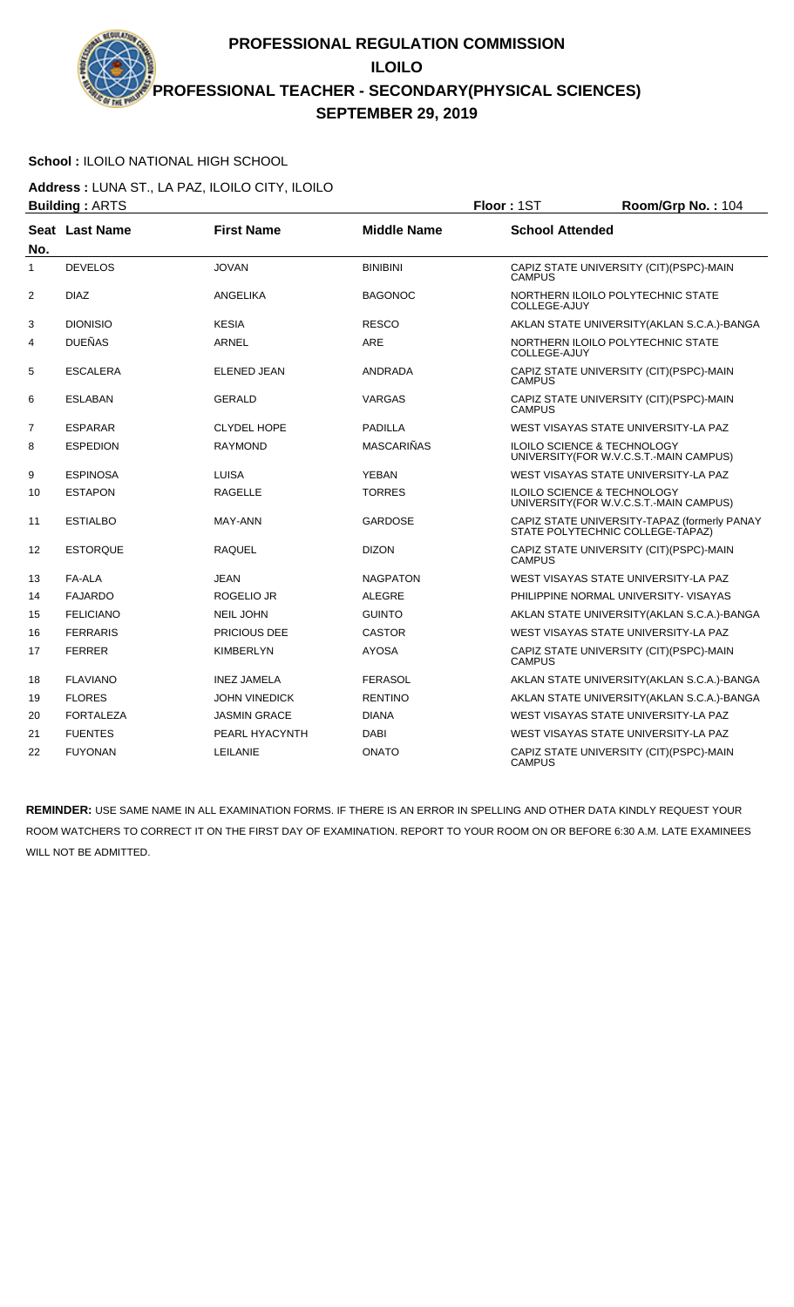# **School :** ILOILO NATIONAL HIGH SCHOOL

**Address :** LUNA ST., LA PAZ, ILOILO CITY, ILOILO **Building : ARTS Floor : 1ST Room/Grp No. : 104** 

|                | <b>Dununiy</b> . An i O |                      |                    | .<br>110011110111101111101                                                       |
|----------------|-------------------------|----------------------|--------------------|----------------------------------------------------------------------------------|
| No.            | Seat Last Name          | <b>First Name</b>    | <b>Middle Name</b> | <b>School Attended</b>                                                           |
| 1              | <b>DEVELOS</b>          | <b>JOVAN</b>         | <b>BINIBINI</b>    | CAPIZ STATE UNIVERSITY (CIT)(PSPC)-MAIN<br><b>CAMPUS</b>                         |
| 2              | <b>DIAZ</b>             | <b>ANGELIKA</b>      | <b>BAGONOC</b>     | NORTHERN ILOILO POLYTECHNIC STATE<br>COLLEGE-AJUY                                |
| 3              | <b>DIONISIO</b>         | <b>KESIA</b>         | <b>RESCO</b>       | AKLAN STATE UNIVERSITY(AKLAN S.C.A.)-BANGA                                       |
| 4              | <b>DUEÑAS</b>           | <b>ARNEL</b>         | <b>ARE</b>         | NORTHERN ILOILO POLYTECHNIC STATE<br>COLLEGE-AJUY                                |
| 5              | <b>ESCALERA</b>         | <b>ELENED JEAN</b>   | ANDRADA            | CAPIZ STATE UNIVERSITY (CIT)(PSPC)-MAIN<br><b>CAMPUS</b>                         |
| 6              | <b>ESLABAN</b>          | <b>GERALD</b>        | <b>VARGAS</b>      | CAPIZ STATE UNIVERSITY (CIT)(PSPC)-MAIN<br><b>CAMPUS</b>                         |
| $\overline{7}$ | <b>ESPARAR</b>          | <b>CLYDEL HOPE</b>   | <b>PADILLA</b>     | WEST VISAYAS STATE UNIVERSITY-LA PAZ                                             |
| 8              | <b>ESPEDION</b>         | <b>RAYMOND</b>       | <b>MASCARIÑAS</b>  | ILOILO SCIENCE & TECHNOLOGY<br>UNIVERSITY (FOR W.V.C.S.T.-MAIN CAMPUS)           |
| 9              | <b>ESPINOSA</b>         | <b>LUISA</b>         | <b>YEBAN</b>       | WEST VISAYAS STATE UNIVERSITY-LA PAZ                                             |
| 10             | <b>ESTAPON</b>          | <b>RAGELLE</b>       | <b>TORRES</b>      | ILOILO SCIENCE & TECHNOLOGY<br>UNIVERSITY (FOR W.V.C.S.T.-MAIN CAMPUS)           |
| 11             | <b>ESTIALBO</b>         | MAY-ANN              | <b>GARDOSE</b>     | CAPIZ STATE UNIVERSITY-TAPAZ (formerly PANAY<br>STATE POLYTECHNIC COLLEGE-TAPAZ) |
| 12             | <b>ESTORQUE</b>         | <b>RAQUEL</b>        | <b>DIZON</b>       | CAPIZ STATE UNIVERSITY (CIT)(PSPC)-MAIN<br><b>CAMPUS</b>                         |
| 13             | FA-ALA                  | <b>JEAN</b>          | <b>NAGPATON</b>    | WEST VISAYAS STATE UNIVERSITY-LA PAZ                                             |
| 14             | <b>FAJARDO</b>          | <b>ROGELIO JR</b>    | <b>ALEGRE</b>      | PHILIPPINE NORMAL UNIVERSITY- VISAYAS                                            |
| 15             | <b>FELICIANO</b>        | <b>NEIL JOHN</b>     | <b>GUINTO</b>      | AKLAN STATE UNIVERSITY (AKLAN S.C.A.)-BANGA                                      |
| 16             | <b>FERRARIS</b>         | <b>PRICIOUS DEE</b>  | <b>CASTOR</b>      | WEST VISAYAS STATE UNIVERSITY-LA PAZ                                             |
| 17             | <b>FERRER</b>           | <b>KIMBERLYN</b>     | <b>AYOSA</b>       | CAPIZ STATE UNIVERSITY (CIT)(PSPC)-MAIN<br><b>CAMPUS</b>                         |
| 18             | <b>FLAVIANO</b>         | <b>INEZ JAMELA</b>   | <b>FERASOL</b>     | AKLAN STATE UNIVERSITY (AKLAN S.C.A.)-BANGA                                      |
| 19             | <b>FLORES</b>           | <b>JOHN VINEDICK</b> | <b>RENTINO</b>     | AKLAN STATE UNIVERSITY(AKLAN S.C.A.)-BANGA                                       |
| 20             | <b>FORTALEZA</b>        | <b>JASMIN GRACE</b>  | <b>DIANA</b>       | WEST VISAYAS STATE UNIVERSITY-LA PAZ                                             |
| 21             | <b>FUENTES</b>          | PEARL HYACYNTH       | <b>DABI</b>        | WEST VISAYAS STATE UNIVERSITY-LA PAZ                                             |
| 22             | <b>FUYONAN</b>          | <b>LEILANIE</b>      | <b>ONATO</b>       | CAPIZ STATE UNIVERSITY (CIT)(PSPC)-MAIN<br><b>CAMPUS</b>                         |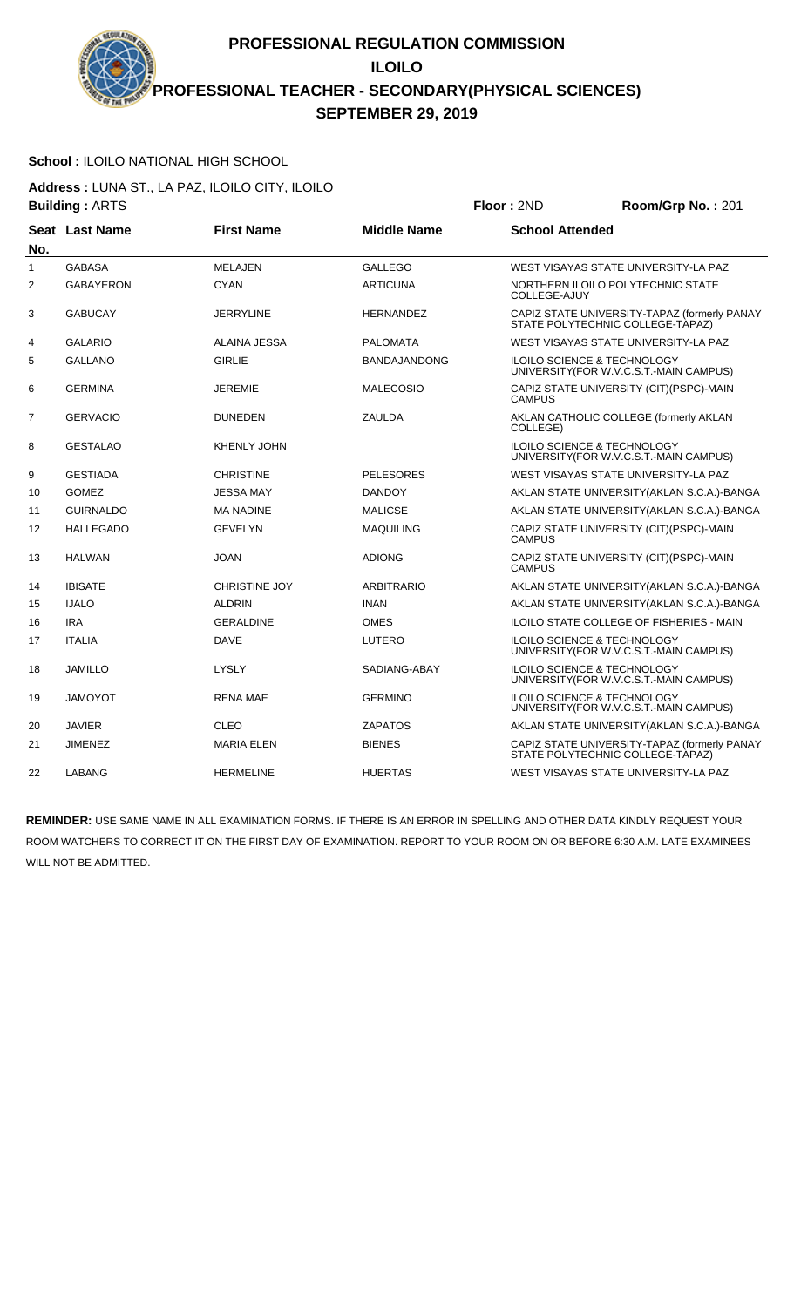#### **School :** ILOILO NATIONAL HIGH SCHOOL

**Address :** LUNA ST., LA PAZ, ILOILO CITY, ILOILO **Building :** ARTS **Floor :** 2ND **Room/Grp No. :** 201

|                | ט באו <i>ם</i> . פווועווע |                      |                     | שום . ניטיו<br>$11001110$ ulu 110. . 201                                          |
|----------------|---------------------------|----------------------|---------------------|-----------------------------------------------------------------------------------|
| No.            | Seat Last Name            | <b>First Name</b>    | <b>Middle Name</b>  | <b>School Attended</b>                                                            |
| $\mathbf{1}$   | <b>GABASA</b>             | <b>MELAJEN</b>       | <b>GALLEGO</b>      | WEST VISAYAS STATE UNIVERSITY-LA PAZ                                              |
| $\overline{2}$ | <b>GABAYERON</b>          | <b>CYAN</b>          | <b>ARTICUNA</b>     | NORTHERN ILOILO POLYTECHNIC STATE<br>COLLEGE-AJUY                                 |
| 3              | <b>GABUCAY</b>            | <b>JERRYLINE</b>     | HERNANDEZ           | CAPIZ STATE UNIVERSITY-TAPAZ (formerly PANAY<br>STATE POLYTECHNIC COLLEGE-TAPAZ)  |
| 4              | <b>GALARIO</b>            | ALAINA JESSA         | PALOMATA            | WEST VISAYAS STATE UNIVERSITY-LA PAZ                                              |
| 5              | <b>GALLANO</b>            | <b>GIRLIE</b>        | <b>BANDAJANDONG</b> | <b>ILOILO SCIENCE &amp; TECHNOLOGY</b><br>UNIVERSITY (FOR W.V.C.S.T.-MAIN CAMPUS) |
| 6              | <b>GERMINA</b>            | <b>JEREMIE</b>       | MALECOSIO           | CAPIZ STATE UNIVERSITY (CIT)(PSPC)-MAIN<br><b>CAMPUS</b>                          |
| 7              | <b>GERVACIO</b>           | <b>DUNEDEN</b>       | ZAULDA              | AKLAN CATHOLIC COLLEGE (formerly AKLAN<br>COLLEGE)                                |
| 8              | <b>GESTALAO</b>           | KHENLY JOHN          |                     | ILOILO SCIENCE & TECHNOLOGY<br>UNIVERSITY (FOR W.V.C.S.T.-MAIN CAMPUS)            |
| 9              | <b>GESTIADA</b>           | <b>CHRISTINE</b>     | <b>PELESORES</b>    | WEST VISAYAS STATE UNIVERSITY-LA PAZ                                              |
| 10             | <b>GOMEZ</b>              | <b>JESSA MAY</b>     | <b>DANDOY</b>       | AKLAN STATE UNIVERSITY (AKLAN S.C.A.)-BANGA                                       |
| 11             | <b>GUIRNALDO</b>          | <b>MA NADINE</b>     | <b>MALICSE</b>      | AKLAN STATE UNIVERSITY (AKLAN S.C.A.)-BANGA                                       |
| 12             | <b>HALLEGADO</b>          | <b>GEVELYN</b>       | <b>MAQUILING</b>    | CAPIZ STATE UNIVERSITY (CIT)(PSPC)-MAIN<br><b>CAMPUS</b>                          |
| 13             | <b>HALWAN</b>             | <b>JOAN</b>          | <b>ADIONG</b>       | CAPIZ STATE UNIVERSITY (CIT)(PSPC)-MAIN<br><b>CAMPUS</b>                          |
| 14             | <b>IBISATE</b>            | <b>CHRISTINE JOY</b> | ARBITRARIO          | AKLAN STATE UNIVERSITY (AKLAN S.C.A.)-BANGA                                       |
| 15             | <b>IJALO</b>              | <b>ALDRIN</b>        | <b>INAN</b>         | AKLAN STATE UNIVERSITY (AKLAN S.C.A.)-BANGA                                       |
| 16             | <b>IRA</b>                | <b>GERALDINE</b>     | <b>OMES</b>         | ILOILO STATE COLLEGE OF FISHERIES - MAIN                                          |
| 17             | <b>ITALIA</b>             | <b>DAVE</b>          | LUTERO              | <b>ILOILO SCIENCE &amp; TECHNOLOGY</b><br>UNIVERSITY(FOR W.V.C.S.T.-MAIN CAMPUS)  |
| 18             | <b>JAMILLO</b>            | LYSLY                | SADIANG-ABAY        | ILOILO SCIENCE & TECHNOLOGY<br>UNIVERSITY(FOR W.V.C.S.T.-MAIN CAMPUS)             |
| 19             | <b>JAMOYOT</b>            | <b>RENA MAE</b>      | <b>GERMINO</b>      | <b>ILOILO SCIENCE &amp; TECHNOLOGY</b><br>UNIVERSITY (FOR W.V.C.S.T.-MAIN CAMPUS) |
| 20             | <b>JAVIER</b>             | CLEO                 | <b>ZAPATOS</b>      | AKLAN STATE UNIVERSITY (AKLAN S.C.A.)-BANGA                                       |
| 21             | <b>JIMENEZ</b>            | <b>MARIA ELEN</b>    | <b>BIENES</b>       | CAPIZ STATE UNIVERSITY-TAPAZ (formerly PANAY<br>STATE POLYTECHNIC COLLEGE-TAPAZ)  |
| 22             | LABANG                    | <b>HERMELINE</b>     | <b>HUERTAS</b>      | WEST VISAYAS STATE UNIVERSITY-LA PAZ                                              |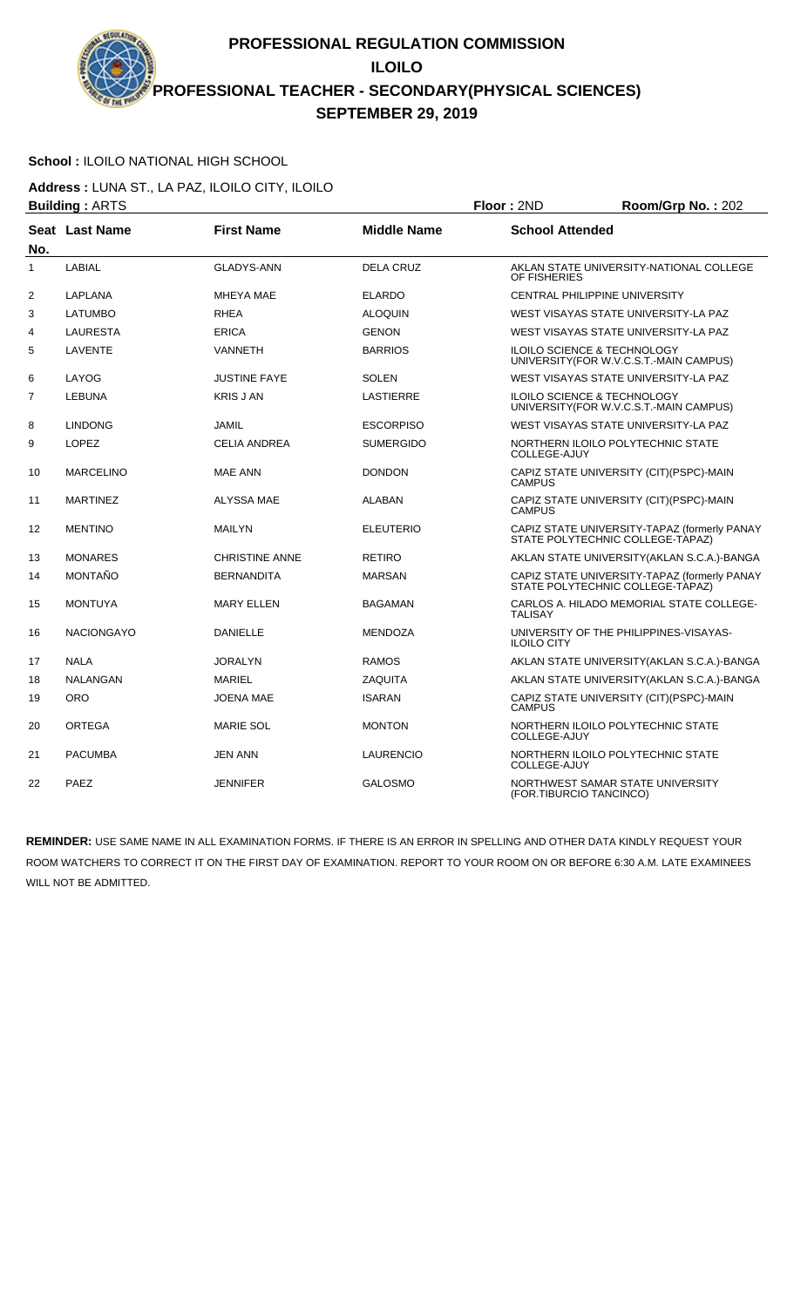# **School :** ILOILO NATIONAL HIGH SCHOOL

**Address :** LUNA ST., LA PAZ, ILOILO CITY, ILOILO **Building :** ARTS **Floor :** 2ND **Room/Grp No. :** 202

|                | Panamg . <b>7</b> 8 8 9 |                       |                    | .                                                                                 |
|----------------|-------------------------|-----------------------|--------------------|-----------------------------------------------------------------------------------|
| No.            | Seat Last Name          | <b>First Name</b>     | <b>Middle Name</b> | <b>School Attended</b>                                                            |
| 1              | <b>LABIAL</b>           | <b>GLADYS-ANN</b>     | <b>DELA CRUZ</b>   | AKLAN STATE UNIVERSITY-NATIONAL COLLEGE<br>OF FISHERIES                           |
| 2              | <b>LAPLANA</b>          | <b>MHEYA MAE</b>      | <b>ELARDO</b>      | <b>CENTRAL PHILIPPINE UNIVERSITY</b>                                              |
| 3              | <b>LATUMBO</b>          | <b>RHEA</b>           | <b>ALOQUIN</b>     | WEST VISAYAS STATE UNIVERSITY-LA PAZ                                              |
| 4              | <b>LAURESTA</b>         | <b>ERICA</b>          | <b>GENON</b>       | WEST VISAYAS STATE UNIVERSITY-LA PAZ                                              |
| 5              | LAVENTE                 | VANNETH               | <b>BARRIOS</b>     | ILOILO SCIENCE & TECHNOLOGY<br>UNIVERSITY (FOR W.V.C.S.T.-MAIN CAMPUS)            |
| 6              | LAYOG                   | <b>JUSTINE FAYE</b>   | <b>SOLEN</b>       | WEST VISAYAS STATE UNIVERSITY-LA PAZ                                              |
| $\overline{7}$ | <b>LEBUNA</b>           | <b>KRIS JAN</b>       | <b>LASTIERRE</b>   | <b>ILOILO SCIENCE &amp; TECHNOLOGY</b><br>UNIVERSITY (FOR W.V.C.S.T.-MAIN CAMPUS) |
| 8              | <b>LINDONG</b>          | <b>JAMIL</b>          | <b>ESCORPISO</b>   | WEST VISAYAS STATE UNIVERSITY-LA PAZ                                              |
| 9              | <b>LOPEZ</b>            | <b>CELIA ANDREA</b>   | <b>SUMERGIDO</b>   | NORTHERN ILOILO POLYTECHNIC STATE<br>COLLEGE-AJUY                                 |
| 10             | <b>MARCELINO</b>        | <b>MAE ANN</b>        | <b>DONDON</b>      | CAPIZ STATE UNIVERSITY (CIT)(PSPC)-MAIN<br><b>CAMPUS</b>                          |
| 11             | <b>MARTINEZ</b>         | <b>ALYSSA MAE</b>     | <b>ALABAN</b>      | CAPIZ STATE UNIVERSITY (CIT)(PSPC)-MAIN<br><b>CAMPUS</b>                          |
| 12             | <b>MENTINO</b>          | <b>MAILYN</b>         | <b>ELEUTERIO</b>   | CAPIZ STATE UNIVERSITY-TAPAZ (formerly PANAY<br>STATE POLYTECHNIC COLLEGE-TAPAZ)  |
| 13             | <b>MONARES</b>          | <b>CHRISTINE ANNE</b> | <b>RETIRO</b>      | AKLAN STATE UNIVERSITY (AKLAN S.C.A.)-BANGA                                       |
| 14             | MONTAÑO                 | <b>BERNANDITA</b>     | <b>MARSAN</b>      | CAPIZ STATE UNIVERSITY-TAPAZ (formerly PANAY<br>STATE POLYTECHNIC COLLEGE-TAPAZ)  |
| 15             | <b>MONTUYA</b>          | <b>MARY ELLEN</b>     | <b>BAGAMAN</b>     | CARLOS A. HILADO MEMORIAL STATE COLLEGE-<br><b>TALISAY</b>                        |
| 16             | <b>NACIONGAYO</b>       | <b>DANIELLE</b>       | <b>MENDOZA</b>     | UNIVERSITY OF THE PHILIPPINES-VISAYAS-<br><b>ILOILO CITY</b>                      |
| 17             | <b>NALA</b>             | <b>JORALYN</b>        | <b>RAMOS</b>       | AKLAN STATE UNIVERSITY (AKLAN S.C.A.)-BANGA                                       |
| 18             | <b>NALANGAN</b>         | <b>MARIEL</b>         | <b>ZAQUITA</b>     | AKLAN STATE UNIVERSITY (AKLAN S.C.A.)-BANGA                                       |
| 19             | <b>ORO</b>              | <b>JOENA MAE</b>      | <b>ISARAN</b>      | CAPIZ STATE UNIVERSITY (CIT)(PSPC)-MAIN<br><b>CAMPUS</b>                          |
| 20             | <b>ORTEGA</b>           | <b>MARIE SOL</b>      | <b>MONTON</b>      | NORTHERN ILOILO POLYTECHNIC STATE<br>COLLEGE-AJUY                                 |
| 21             | <b>PACUMBA</b>          | JEN ANN               | <b>LAURENCIO</b>   | NORTHERN ILOILO POLYTECHNIC STATE<br>COLLEGE-AJUY                                 |
| 22             | PAEZ                    | <b>JENNIFER</b>       | <b>GALOSMO</b>     | NORTHWEST SAMAR STATE UNIVERSITY<br>(FOR.TIBURCIO TANCINCO)                       |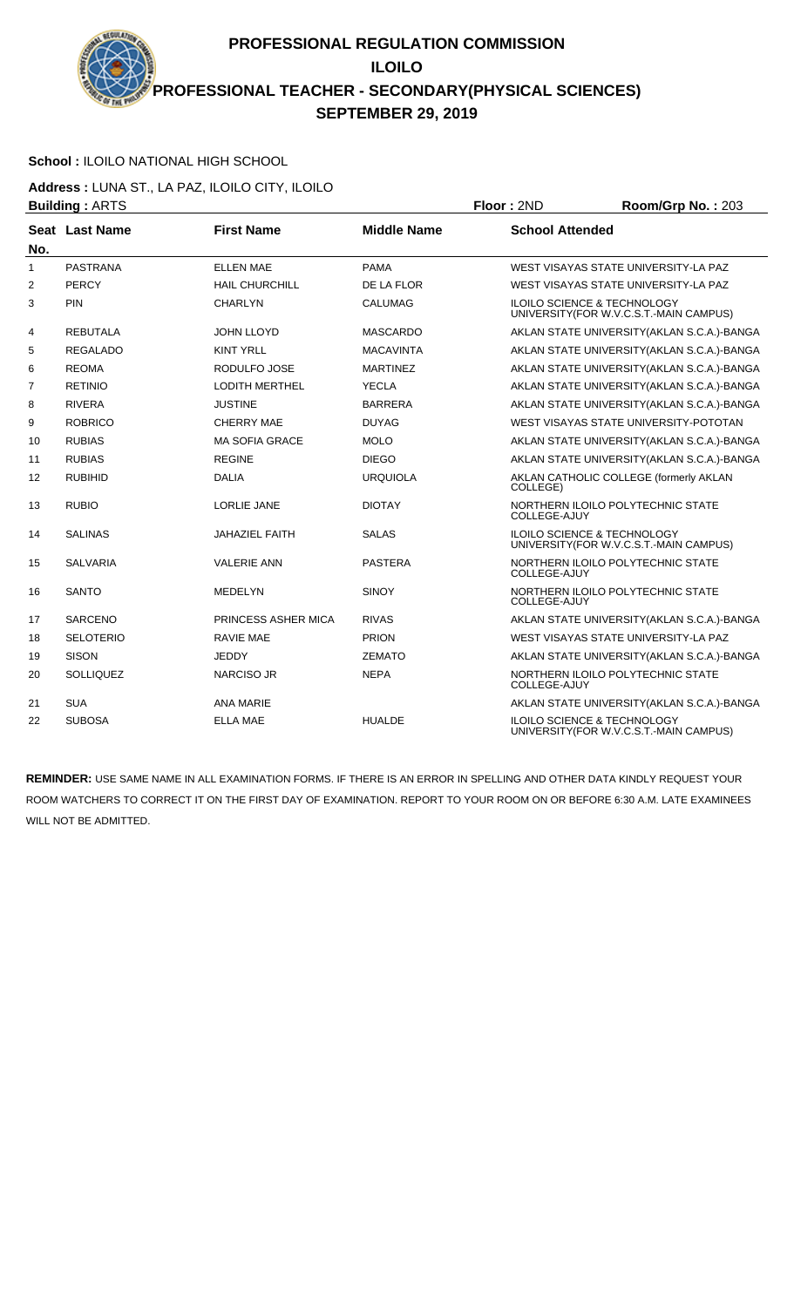# **School :** ILOILO NATIONAL HIGH SCHOOL

**Address :** LUNA ST., LA PAZ, ILOILO CITY, ILOILO **Building :** ARTS **Floor :** 2ND **Room/Grp No. :** 203

|                |                  |                       |                    | .<br>110011101110112121200                                                        |
|----------------|------------------|-----------------------|--------------------|-----------------------------------------------------------------------------------|
| No.            | Seat Last Name   | <b>First Name</b>     | <b>Middle Name</b> | <b>School Attended</b>                                                            |
| 1              | <b>PASTRANA</b>  | <b>ELLEN MAE</b>      | <b>PAMA</b>        | WEST VISAYAS STATE UNIVERSITY-LA PAZ                                              |
| 2              | <b>PERCY</b>     | <b>HAIL CHURCHILL</b> | DE LA FLOR         | WEST VISAYAS STATE UNIVERSITY-LA PAZ                                              |
| 3              | <b>PIN</b>       | <b>CHARLYN</b>        | <b>CALUMAG</b>     | <b>ILOILO SCIENCE &amp; TECHNOLOGY</b><br>UNIVERSITY (FOR W.V.C.S.T.-MAIN CAMPUS) |
| 4              | <b>REBUTALA</b>  | JOHN LLOYD            | <b>MASCARDO</b>    | AKLAN STATE UNIVERSITY (AKLAN S.C.A.)-BANGA                                       |
| 5              | <b>REGALADO</b>  | <b>KINT YRLL</b>      | <b>MACAVINTA</b>   | AKLAN STATE UNIVERSITY (AKLAN S.C.A.)-BANGA                                       |
| 6              | <b>REOMA</b>     | RODULFO JOSE          | <b>MARTINEZ</b>    | AKLAN STATE UNIVERSITY (AKLAN S.C.A.)-BANGA                                       |
| $\overline{7}$ | <b>RETINIO</b>   | <b>LODITH MERTHEL</b> | <b>YECLA</b>       | AKLAN STATE UNIVERSITY (AKLAN S.C.A.)-BANGA                                       |
| 8              | <b>RIVERA</b>    | <b>JUSTINE</b>        | <b>BARRERA</b>     | AKLAN STATE UNIVERSITY (AKLAN S.C.A.)-BANGA                                       |
| 9              | <b>ROBRICO</b>   | <b>CHERRY MAE</b>     | <b>DUYAG</b>       | WEST VISAYAS STATE UNIVERSITY-POTOTAN                                             |
| 10             | <b>RUBIAS</b>    | <b>MA SOFIA GRACE</b> | <b>MOLO</b>        | AKLAN STATE UNIVERSITY (AKLAN S.C.A.)-BANGA                                       |
| 11             | <b>RUBIAS</b>    | <b>REGINE</b>         | <b>DIEGO</b>       | AKLAN STATE UNIVERSITY (AKLAN S.C.A.)-BANGA                                       |
| 12             | <b>RUBIHID</b>   | <b>DALIA</b>          | <b>URQUIOLA</b>    | AKLAN CATHOLIC COLLEGE (formerly AKLAN<br>COLLEGE)                                |
| 13             | <b>RUBIO</b>     | <b>LORLIE JANE</b>    | <b>DIOTAY</b>      | NORTHERN ILOILO POLYTECHNIC STATE<br>COLLEGE-AJUY                                 |
| 14             | <b>SALINAS</b>   | <b>JAHAZIEL FAITH</b> | <b>SALAS</b>       | <b>ILOILO SCIENCE &amp; TECHNOLOGY</b><br>UNIVERSITY (FOR W.V.C.S.T.-MAIN CAMPUS) |
| 15             | <b>SALVARIA</b>  | <b>VALERIE ANN</b>    | <b>PASTERA</b>     | NORTHERN ILOILO POLYTECHNIC STATE<br>COLLEGE-AJUY                                 |
| 16             | <b>SANTO</b>     | <b>MEDELYN</b>        | <b>SINOY</b>       | NORTHERN ILOILO POLYTECHNIC STATE<br>COLLEGE-AJUY                                 |
| 17             | <b>SARCENO</b>   | PRINCESS ASHER MICA   | <b>RIVAS</b>       | AKLAN STATE UNIVERSITY (AKLAN S.C.A.)-BANGA                                       |
| 18             | <b>SELOTERIO</b> | <b>RAVIE MAE</b>      | <b>PRION</b>       | WEST VISAYAS STATE UNIVERSITY-LA PAZ                                              |
| 19             | <b>SISON</b>     | <b>JEDDY</b>          | <b>ZEMATO</b>      | AKLAN STATE UNIVERSITY (AKLAN S.C.A.)-BANGA                                       |
| 20             | <b>SOLLIQUEZ</b> | <b>NARCISO JR</b>     | <b>NEPA</b>        | NORTHERN ILOILO POLYTECHNIC STATE<br>COLLEGE-AJUY                                 |
| 21             | <b>SUA</b>       | <b>ANA MARIE</b>      |                    | AKLAN STATE UNIVERSITY (AKLAN S.C.A.)-BANGA                                       |
| 22             | <b>SUBOSA</b>    | ELLA MAE              | <b>HUALDE</b>      | <b>ILOILO SCIENCE &amp; TECHNOLOGY</b><br>UNIVERSITY (FOR W.V.C.S.T.-MAIN CAMPUS) |